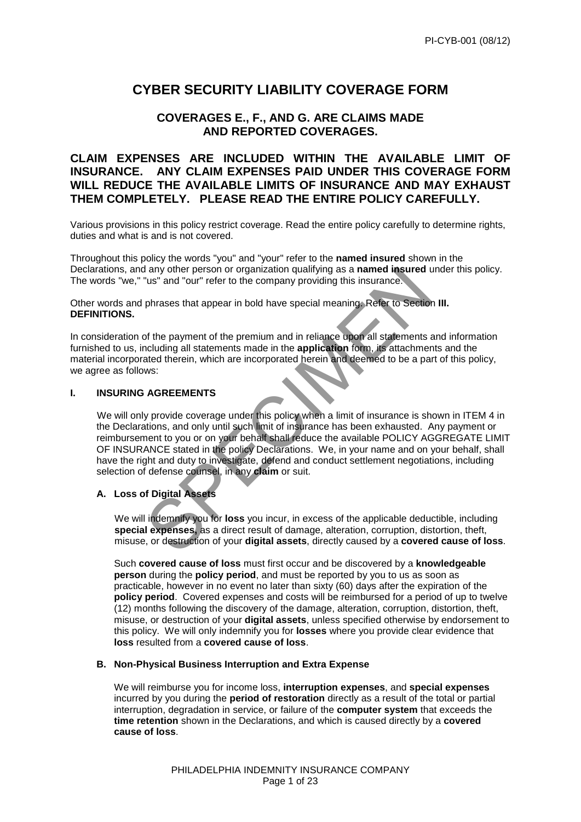# **CYBER SECURITY LIABILITY COVERAGE FORM**

# **COVERAGES E., F., AND G. ARE CLAIMS MADE AND REPORTED COVERAGES.**

# **CLAIM EXPENSES ARE INCLUDED WITHIN THE AVAILABLE LIMIT OF INSURANCE. ANY CLAIM EXPENSES PAID UNDER THIS COVERAGE FORM WILL REDUCE THE AVAILABLE LIMITS OF INSURANCE AND MAY EXHAUST THEM COMPLETELY. PLEASE READ THE ENTIRE POLICY CAREFULLY.**

Various provisions in this policy restrict coverage. Read the entire policy carefully to determine rights, duties and what is and is not covered.

Throughout this policy the words "you" and "your" refer to the **named insured** shown in the Declarations, and any other person or organization qualifying as a **named insured** under this policy. The words "we," "us" and "our" refer to the company providing this insurance.

Other words and phrases that appear in bold have special meaning. Refer to Section **III. DEFINITIONS.**

In consideration of the payment of the premium and in reliance upon all statements and information furnished to us, including all statements made in the **application** form, its attachments and the material incorporated therein, which are incorporated herein and deemed to be a part of this policy, we agree as follows:

#### **I. INSURING AGREEMENTS**

The material of the company providing as a **named insured** under the current transformation of the company providing this insurance.<br>
phrases that appear in bold have special meaning. Refer to Section III.<br>
or the payment We will only provide coverage under this policy when a limit of insurance is shown in ITEM 4 in the Declarations, and only until such limit of insurance has been exhausted. Any payment or reimbursement to you or on your behalf shall reduce the available POLICY AGGREGATE LIMIT OF INSURANCE stated in the policy Declarations. We, in your name and on your behalf, shall have the right and duty to investigate, defend and conduct settlement negotiations, including selection of defense counsel, in any **claim** or suit.

# **A. Loss of Digital Assets**

 We will indemnify you for **loss** you incur, in excess of the applicable deductible, including **special expenses,** as a direct result of damage, alteration, corruption, distortion, theft, misuse, or destruction of your **digital assets**, directly caused by a **covered cause of loss**.

Such **covered cause of loss** must first occur and be discovered by a **knowledgeable person** during the **policy period**, and must be reported by you to us as soon as practicable, however in no event no later than sixty (60) days after the expiration of the **policy period**.Covered expenses and costs will be reimbursed for a period of up to twelve (12) months following the discovery of the damage, alteration, corruption, distortion, theft, misuse, or destruction of your **digital assets**, unless specified otherwise by endorsement to this policy. We will only indemnify you for **losses** where you provide clear evidence that **loss** resulted from a **covered cause of loss**.

#### **B. Non-Physical Business Interruption and Extra Expense**

We will reimburse you for income loss, **interruption expenses**, and **special expenses** incurred by you during the **period of restoration** directly as a result of the total or partial interruption, degradation in service, or failure of the **computer system** that exceeds the **time retention** shown in the Declarations, and which is caused directly by a **covered cause of loss**.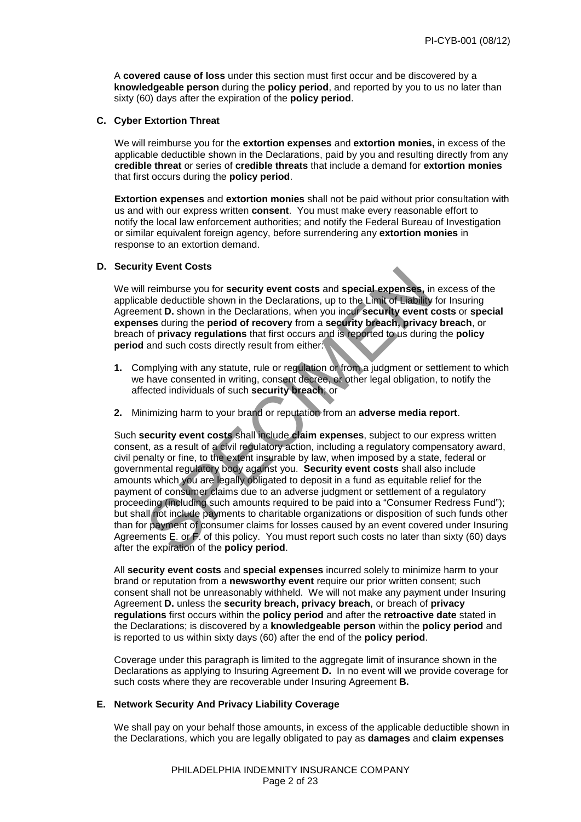A **covered cause of loss** under this section must first occur and be discovered by a **knowledgeable person** during the **policy period**, and reported by you to us no later than sixty (60) days after the expiration of the **policy period**.

#### **C. Cyber Extortion Threat**

We will reimburse you for the **extortion expenses** and **extortion monies,** in excess of the applicable deductible shown in the Declarations, paid by you and resulting directly from any **credible threat** or series of **credible threats** that include a demand for **extortion monies** that first occurs during the **policy period**.

 **Extortion expenses** and **extortion monies** shall not be paid without prior consultation with us and with our express written **consent**. You must make every reasonable effort to notify the local law enforcement authorities; and notify the Federal Bureau of Investigation or similar equivalent foreign agency, before surrendering any **extortion monies** in response to an extortion demand.

#### **D. Security Event Costs**

 We will reimburse you for **security event costs** and **special expenses,** in excess of the applicable deductible shown in the Declarations, up to the Limit of Liability for Insuring Agreement **D.** shown in the Declarations, when you incur **security event costs** or **special expenses** during the **period of recovery** from a **security breach, privacy breach**, or breach of **privacy regulations** that first occurs and is reported to us during the **policy period** and such costs directly result from either:

- **1.** Complying with any statute, rule or regulation or from a judgment or settlement to which we have consented in writing, consent decree, or other legal obligation, to notify the affected individuals of such **security breach**; or
- **2.** Minimizing harm to your brand or reputation from an **adverse media report**.

If reimburse you for security event costs and special expenses, in experiencies<br>the deductible shown in the Declarations, up to the Limit of Lebility for the<br>ment D. shown in the Declarations, when you incursed the Unit of Such **security event costs** shall include **claim expenses**, subject to our express written consent, as a result of a civil requiatory action, including a regulatory compensatory award, civil penalty or fine, to the extent insurable by law, when imposed by a state, federal or governmental regulatory body against you. **Security event costs** shall also include amounts which you are legally obligated to deposit in a fund as equitable relief for the payment of consumer claims due to an adverse judgment or settlement of a regulatory proceeding (including such amounts required to be paid into a "Consumer Redress Fund"); but shall not include payments to charitable organizations or disposition of such funds other than for payment of consumer claims for losses caused by an event covered under Insuring Agreements E. or F. of this policy. You must report such costs no later than sixty (60) days after the expiration of the **policy period**.

All **security event costs** and **special expenses** incurred solely to minimize harm to your brand or reputation from a **newsworthy event** require our prior written consent; such consent shall not be unreasonably withheld. We will not make any payment under Insuring Agreement **D.** unless the **security breach, privacy breach**, or breach of **privacy regulations** first occurs within the **policy period** and after the **retroactive date** stated in the Declarations; is discovered by a **knowledgeable person** within the **policy period** and is reported to us within sixty days (60) after the end of the **policy period**.

Coverage under this paragraph is limited to the aggregate limit of insurance shown in the Declarations as applying to Insuring Agreement **D.** In no event will we provide coverage for such costs where they are recoverable under Insuring Agreement **B.**

#### **E. Network Security And Privacy Liability Coverage**

We shall pay on your behalf those amounts, in excess of the applicable deductible shown in the Declarations, which you are legally obligated to pay as **damages** and **claim expenses**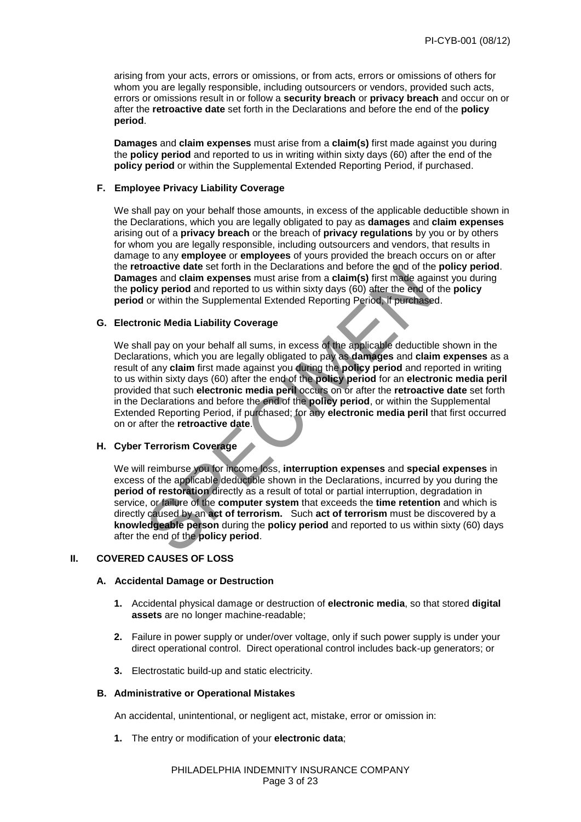arising from your acts, errors or omissions, or from acts, errors or omissions of others for whom you are legally responsible, including outsourcers or vendors, provided such acts, errors or omissions result in or follow a **security breach** or **privacy breach** and occur on or after the **retroactive date** set forth in the Declarations and before the end of the **policy period**.

 **Damages** and **claim expenses** must arise from a **claim(s)** first made against you during the **policy period** and reported to us in writing within sixty days (60) after the end of the **policy period** or within the Supplemental Extended Reporting Period, if purchased.

#### **F. Employee Privacy Liability Coverage**

We shall pay on your behalf those amounts, in excess of the applicable deductible shown in the Declarations, which you are legally obligated to pay as **damages** and **claim expenses** arising out of a **privacy breach** or the breach of **privacy regulations** by you or by others for whom you are legally responsible, including outsourcers and vendors, that results in damage to any **employee** or **employees** of yours provided the breach occurs on or after the **retroactive date** set forth in the Declarations and before the end of the **policy period**. **Damages** and **claim expenses** must arise from a **claim(s)** first made against you during the **policy period** and reported to us within sixty days (60) after the end of the **policy period** or within the Supplemental Extended Reporting Period, if purchased.

#### **G. Electronic Media Liability Coverage**

because set contribute because and because the end of the positive data the product and claim expenses must arise from a claim(s) first made against<br>licy period and reported to us within sixty days (60) after the end of th We shall pay on your behalf all sums, in excess of the applicable deductible shown in the Declarations, which you are legally obligated to pay as **damages** and **claim expenses** as a result of any **claim** first made against you during the **policy period** and reported in writing to us within sixty days (60) after the end of the **policy period** for an **electronic media peril**  provided that such **electronic media peril** occurs on or after the **retroactive date** set forth in the Declarations and before the end of the **policy period**, or within the Supplemental Extended Reporting Period, if purchased; for any **electronic media peril** that first occurred on or after the **retroactive date**.

### **H. Cyber Terrorism Coverage**

We will reimburse you for income loss, **interruption expenses** and **special expenses** in excess of the applicable deductible shown in the Declarations, incurred by you during the **period of restoration** directly as a result of total or partial interruption, degradation in service, or failure of the **computer system** that exceeds the **time retention** and which is directly caused by an **act of terrorism.** Such **act of terrorism** must be discovered by a **knowledgeable person** during the **policy period** and reported to us within sixty (60) days after the end of the **policy period**.

### **II. COVERED CAUSES OF LOSS**

#### **A. Accidental Damage or Destruction**

- **1.** Accidental physical damage or destruction of **electronic media**, so that stored **digital assets** are no longer machine-readable;
- **2.** Failure in power supply or under/over voltage, only if such power supply is under your direct operational control. Direct operational control includes back-up generators; or
- **3.** Electrostatic build-up and static electricity.

#### **B. Administrative or Operational Mistakes**

An accidental, unintentional, or negligent act, mistake, error or omission in:

 **1.** The entry or modification of your **electronic data**;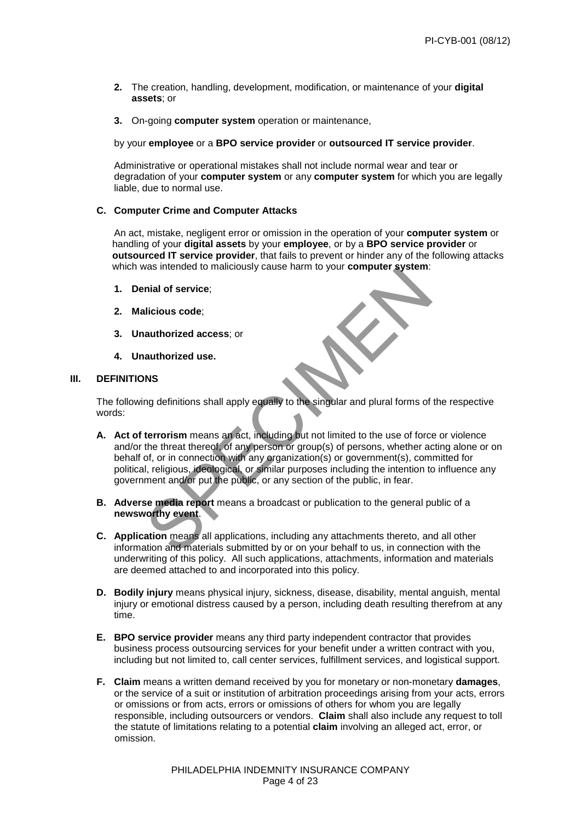- **2.** The creation, handling, development, modification, or maintenance of your **digital assets**; or
- **3.** On-going **computer system** operation or maintenance,

#### by your **employee** or a **BPO service provider** or **outsourced IT service provider**.

Administrative or operational mistakes shall not include normal wear and tear or degradation of your **computer system** or any **computer system** for which you are legally liable, due to normal use.

#### **C. Computer Crime and Computer Attacks**

An act, mistake, negligent error or omission in the operation of your **computer system** or handling of your **digital assets** by your **employee**, or by a **BPO service provider** or **outsourced IT service provider**, that fails to prevent or hinder any of the following attacks which was intended to maliciously cause harm to your **computer system**:

- **1. Denial of service**;
- **2. Malicious code**;
- **3. Unauthorized access**; or
- **4. Unauthorized use.**

#### **III. DEFINITIONS**

The following definitions shall apply equally to the singular and plural forms of the respective words:

- was intended to manutously cause harm to your computer system.<br>
Inial of service;<br>
Ilicious code;<br>
Ilicious code;<br>
Ilicious code;<br>
Ilicious code;<br>
Ilicious code;<br>
Ilicious shall apply equally to the singular and plural for **A. Act of terrorism** means an act, including but not limited to the use of force or violence and/or the threat thereof, of any person or group(s) of persons, whether acting alone or on behalf of, or in connection with any organization(s) or government(s), committed for political, religious, ideological, or similar purposes including the intention to influence any government and/or put the public, or any section of the public, in fear.
- **B.** Adverse media report means a broadcast or publication to the general public of a **newsworthy event**.
- **C. Application** means all applications, including any attachments thereto, and all other information and materials submitted by or on your behalf to us, in connection with the underwriting of this policy. All such applications, attachments, information and materials are deemed attached to and incorporated into this policy.
- **D. Bodily injury** means physical injury, sickness, disease, disability, mental anguish, mental injury or emotional distress caused by a person, including death resulting therefrom at any time.
- **E. BPO service provider** means any third party independent contractor that provides business process outsourcing services for your benefit under a written contract with you, including but not limited to, call center services, fulfillment services, and logistical support.
- **F. Claim** means a written demand received by you for monetary or non-monetary **damages**, or the service of a suit or institution of arbitration proceedings arising from your acts, errors or omissions or from acts, errors or omissions of others for whom you are legally responsible, including outsourcers or vendors. **Claim** shall also include any request to toll the statute of limitations relating to a potential **claim** involving an alleged act, error, or omission.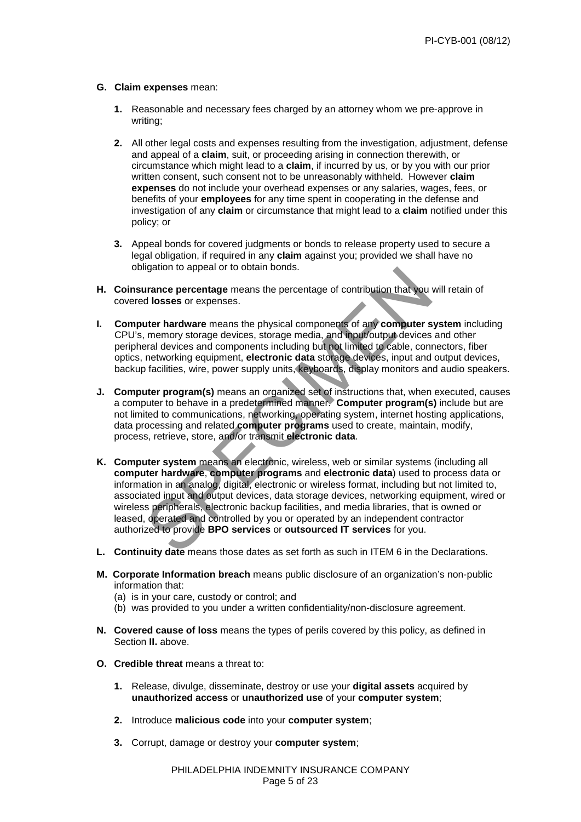#### **G. Claim expenses** mean:

- **1.** Reasonable and necessary fees charged by an attorney whom we pre-approve in writing;
- **2.** All other legal costs and expenses resulting from the investigation, adjustment, defense and appeal of a **claim**, suit, or proceeding arising in connection therewith, or circumstance which might lead to a **claim**, if incurred by us, or by you with our prior written consent, such consent not to be unreasonably withheld. However **claim expenses** do not include your overhead expenses or any salaries, wages, fees, or benefits of your **employees** for any time spent in cooperating in the defense and investigation of any **claim** or circumstance that might lead to a **claim** notified under this policy; or
- **3.** Appeal bonds for covered judgments or bonds to release property used to secure a legal obligation, if required in any **claim** against you; provided we shall have no obligation to appeal or to obtain bonds.
- **H. Coinsurance percentage** means the percentage of contribution that you will retain of covered **losses** or expenses.
- **I. Computer hardware** means the physical components of any **computer system** including CPU's, memory storage devices, storage media, and input/output devices and other peripheral devices and components including but not limited to cable, connectors, fiber optics, networking equipment, **electronic data** storage devices, input and output devices, backup facilities, wire, power supply units, keyboards, display monitors and audio speakers.
- **J. Computer program(s)** means an organized set of instructions that, when executed, causes a computer to behave in a predetermined manner. **Computer program(s)** include but are not limited to communications, networking, operating system, internet hosting applications, data processing and related **computer programs** used to create, maintain, modify, process, retrieve, store, and/or transmit **electronic data**.
- inglation to appear on to obtain bonds.<br> **urance percentage** means the percentage of contribution that you will red losses or expenses.<br>
tuter hardware means the physical components of any computer system memory storage de K. Computer system means an electronic, wireless, web or similar systems (including all **computer hardware**, **computer programs** and **electronic data**) used to process data or information in an analog, digital, electronic or wireless format, including but not limited to, associated input and output devices, data storage devices, networking equipment, wired or wireless peripherals, electronic backup facilities, and media libraries, that is owned or leased, operated and controlled by you or operated by an independent contractor authorized to provide **BPO services** or **outsourced IT services** for you.
- **L. Continuity date** means those dates as set forth as such in ITEM 6 in the Declarations.
- **M. Corporate Information breach** means public disclosure of an organization's non-public information that:
	- (a) is in your care, custody or control; and
	- (b) was provided to you under a written confidentiality/non-disclosure agreement.
- **N. Covered cause of loss** means the types of perils covered by this policy, as defined in Section **II.** above.
- **O. Credible threat** means a threat to:
	- **1.** Release, divulge, disseminate, destroy or use your **digital assets** acquired by **unauthorized access** or **unauthorized use** of your **computer system**;
	- **2.** Introduce **malicious code** into your **computer system**;
	- **3.** Corrupt, damage or destroy your **computer system**;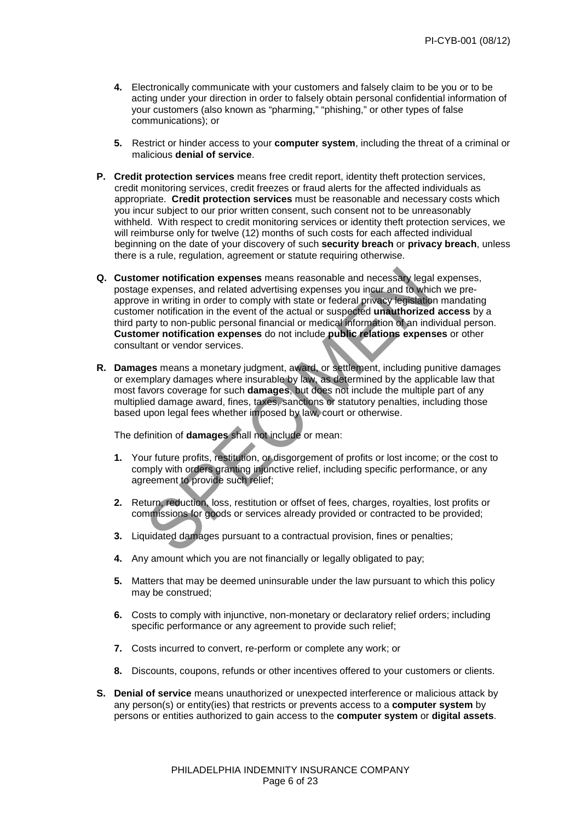- **4.** Electronically communicate with your customers and falsely claim to be you or to be acting under your direction in order to falsely obtain personal confidential information of your customers (also known as "pharming," "phishing," or other types of false communications); or
- **5.** Restrict or hinder access to your **computer system**, including the threat of a criminal or malicious **denial of service**.
- **P. Credit protection services** means free credit report, identity theft protection services, credit monitoring services, credit freezes or fraud alerts for the affected individuals as appropriate. **Credit protection services** must be reasonable and necessary costs which you incur subject to our prior written consent, such consent not to be unreasonably withheld. With respect to credit monitoring services or identity theft protection services, we will reimburse only for twelve (12) months of such costs for each affected individual beginning on the date of your discovery of such **security breach** or **privacy breach**, unless there is a rule, regulation, agreement or statute requiring otherwise.
- mer notification expenses means reasonable and necessary legal expenses, and related advertising expenses you incur and to which we in writing in order to comply with state or federal privacy registantion mener notificatio **Q. Customer notification expenses** means reasonable and necessary legal expenses, postage expenses, and related advertising expenses you incur and to which we preapprove in writing in order to comply with state or federal privacy legislation mandating customer notification in the event of the actual or suspected **unauthorized access** by a third party to non-public personal financial or medical information of an individual person. **Customer notification expenses** do not include **public relations expenses** or other consultant or vendor services.
- **R. Damages** means a monetary judgment, award, or settlement, including punitive damages or exemplary damages where insurable by law, as determined by the applicable law that most favors coverage for such **damages**, but does not include the multiple part of any multiplied damage award, fines, taxes, sanctions or statutory penalties, including those based upon legal fees whether imposed by law, court or otherwise.

The definition of **damages** shall not include or mean:

- **1.** Your future profits, restitution, or disgorgement of profits or lost income; or the cost to comply with orders granting injunctive relief, including specific performance, or any agreement to provide such relief;
- **2.** Return, reduction, loss, restitution or offset of fees, charges, royalties, lost profits or commissions for goods or services already provided or contracted to be provided;
- **3.** Liquidated damages pursuant to a contractual provision, fines or penalties;
- **4.** Any amount which you are not financially or legally obligated to pay;
- **5.** Matters that may be deemed uninsurable under the law pursuant to which this policy may be construed;
- **6.** Costs to comply with injunctive, non-monetary or declaratory relief orders; including specific performance or any agreement to provide such relief;
- **7.** Costs incurred to convert, re-perform or complete any work; or
- **8.** Discounts, coupons, refunds or other incentives offered to your customers or clients.
- **S. Denial of service** means unauthorized or unexpected interference or malicious attack by any person(s) or entity(ies) that restricts or prevents access to a **computer system** by persons or entities authorized to gain access to the **computer system** or **digital assets**.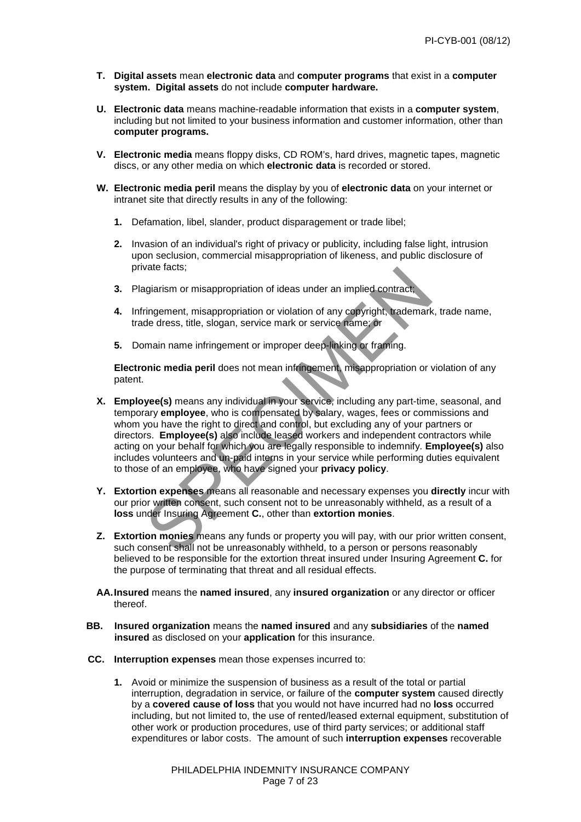- **T. Digital assets** mean **electronic data** and **computer programs** that exist in a **computer system. Digital assets** do not include **computer hardware.**
- **U. Electronic data** means machine-readable information that exists in a **computer system**, including but not limited to your business information and customer information, other than **computer programs.**
- **V. Electronic media** means floppy disks, CD ROM's, hard drives, magnetic tapes, magnetic discs, or any other media on which **electronic data** is recorded or stored.
- **W. Electronic media peril** means the display by you of **electronic data** on your internet or intranet site that directly results in any of the following:
	- **1.** Defamation, libel, slander, product disparagement or trade libel;
	- **2.** Invasion of an individual's right of privacy or publicity, including false light, intrusion upon seclusion, commercial misappropriation of likeness, and public disclosure of private facts;
	- **3.** Plagiarism or misappropriation of ideas under an implied contract;
	- **4.** Infringement, misappropriation or violation of any copyright, trademark, trade name, trade dress, title, slogan, service mark or service name; or
	- **5.** Domain name infringement or improper deep-linking or framing.

**Electronic media peril** does not mean infringement, misappropriation or violation of any patent.

- vale lacts,<br>ringement, misappropriation of ideas under an implied contract;<br>ringement, misappropriation or violation of any copyright, trademark, tra<br>de dress, title, slogan, service mark or service name; or<br>main name infr **X. Employee(s)** means any individual in your service, including any part-time, seasonal, and temporary **employee**, who is compensated by salary, wages, fees or commissions and whom you have the right to direct and control, but excluding any of your partners or directors. **Employee(s)** also include leased workers and independent contractors while acting on your behalf for which you are legally responsible to indemnify. **Employee(s)** also includes volunteers and un-paid interns in your service while performing duties equivalent to those of an employee, who have signed your **privacy policy**.
- **Y. Extortion expenses** means all reasonable and necessary expenses you **directly** incur with our prior written consent, such consent not to be unreasonably withheld, as a result of a **loss** under Insuring Agreement **C.**, other than **extortion monies**.
- **Z. Extortion monies** means any funds or property you will pay, with our prior written consent, such consent shall not be unreasonably withheld, to a person or persons reasonably believed to be responsible for the extortion threat insured under Insuring Agreement **C.** for the purpose of terminating that threat and all residual effects.
- **AA. Insured** means the **named insured**, any **insured organization** or any director or officer thereof.
- **BB. Insured organization** means the **named insured** and any **subsidiaries** of the **named insured** as disclosed on your **application** for this insurance.
- **CC. Interruption expenses** mean those expenses incurred to:
	- **1.** Avoid or minimize the suspension of business as a result of the total or partial interruption, degradation in service, or failure of the **computer system** caused directly by a **covered cause of loss** that you would not have incurred had no **loss** occurred including, but not limited to, the use of rented/leased external equipment, substitution of other work or production procedures, use of third party services; or additional staff expenditures or labor costs. The amount of such **interruption expenses** recoverable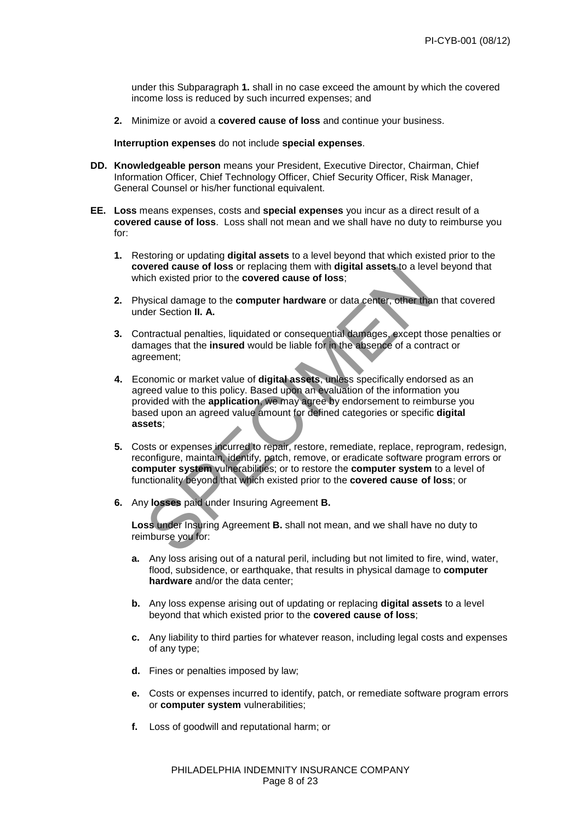under this Subparagraph **1.** shall in no case exceed the amount by which the covered income loss is reduced by such incurred expenses; and

 **2.** Minimize or avoid a **covered cause of loss** and continue your business.

**Interruption expenses** do not include **special expenses**.

- **DD. Knowledgeable person** means your President, Executive Director, Chairman, Chief Information Officer, Chief Technology Officer, Chief Security Officer, Risk Manager, General Counsel or his/her functional equivalent.
- **EE. Loss** means expenses, costs and **special expenses** you incur as a direct result of a **covered cause of loss**. Loss shall not mean and we shall have no duty to reimburse you for:
	- **1.** Restoring or updating **digital assets** to a level beyond that which existed prior to the **covered cause of loss** or replacing them with **digital assets** to a level beyond that which existed prior to the **covered cause of loss**;
	- **2.** Physical damage to the **computer hardware** or data center, other than that covered under Section **II. A.**
	- **3.** Contractual penalties, liquidated or consequential damages, except those penalties or damages that the **insured** would be liable for in the absence of a contract or agreement;
	- Were clause of uses of replacing them will update assets, to a level be<br>ich existed prior to the **covered cause of loss**;<br>tysical damage to the **computer hardware** or data center, other than the<br>der Section II. A.<br>mtractua  **4.** Economic or market value of **digital assets**, unless specifically endorsed as an agreed value to this policy. Based upon an evaluation of the information you provided with the **application**, we may agree by endorsement to reimburse you based upon an agreed value amount for defined categories or specific **digital assets**;
	- **5.** Costs or expenses incurred to repair, restore, remediate, replace, reprogram, redesign, reconfigure, maintain, identify, patch, remove, or eradicate software program errors or **computer system** vulnerabilities; or to restore the **computer system** to a level of functionality beyond that which existed prior to the **covered cause of loss**; or
	- **6.** Any **losses** paid under Insuring Agreement **B.**

**Loss** under Insuring Agreement **B.** shall not mean, and we shall have no duty to reimburse you for:

- **a.** Any loss arising out of a natural peril, including but not limited to fire, wind, water, flood, subsidence, or earthquake, that results in physical damage to **computer hardware** and/or the data center;
- **b.** Any loss expense arising out of updating or replacing **digital assets** to a level beyond that which existed prior to the **covered cause of loss**;
- **c.** Any liability to third parties for whatever reason, including legal costs and expenses of any type;
- **d.** Fines or penalties imposed by law;
- **e.** Costs or expenses incurred to identify, patch, or remediate software program errors or **computer system** vulnerabilities;
- **f.** Loss of goodwill and reputational harm; or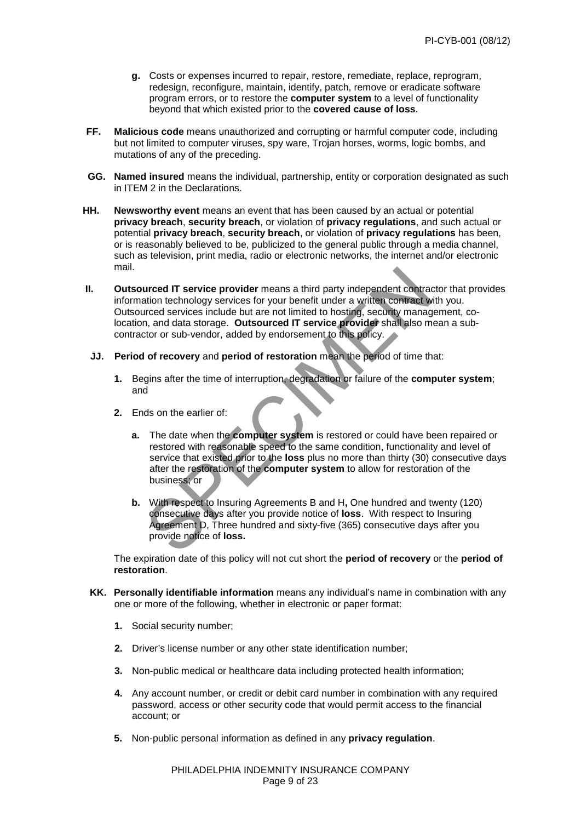- **g.** Costs or expenses incurred to repair, restore, remediate, replace, reprogram, redesign, reconfigure, maintain, identify, patch, remove or eradicate software program errors, or to restore the **computer system** to a level of functionality beyond that which existed prior to the **covered cause of loss**.
- **FF. Malicious code** means unauthorized and corrupting or harmful computer code, including but not limited to computer viruses, spy ware, Trojan horses, worms, logic bombs, and mutations of any of the preceding.
- **GG. Named insured** means the individual, partnership, entity or corporation designated as such in ITEM 2 in the Declarations.
- **HH. Newsworthy event** means an event that has been caused by an actual or potential **privacy breach**, **security breach**, or violation of **privacy regulations**, and such actual or potential **privacy breach**, **security breach**, or violation of **privacy regulations** has been, or is reasonably believed to be, publicized to the general public through a media channel, such as television, print media, radio or electronic networks, the internet and/or electronic mail.
- and IT service provider means a third party independent contractor<br>attion technology services for your benefit under a written contract with y<br>irred services include but are not limited to hosting, security managemen,<br>and  **II. Outsourced IT service provider** means a third party independent contractor that provides information technology services for your benefit under a written contract with you. Outsourced services include but are not limited to hosting, security management, colocation, and data storage. **Outsourced IT service provider** shall also mean a sub contractor or sub-vendor, added by endorsement to this policy.
- **JJ. Period of recovery** and **period of restoration** mean the period of time that:
	- **1.** Begins after the time of interruption, degradation or failure of the **computer system**; and
	- **2.** Ends on the earlier of:
		- **a.** The date when the **computer system** is restored or could have been repaired or restored with reasonable speed to the same condition, functionality and level of service that existed prior to the **loss** plus no more than thirty (30) consecutive days after the restoration of the **computer system** to allow for restoration of the business; or
		- **b.** With respect to Insuring Agreements B and H**,** One hundred and twenty (120) consecutive days after you provide notice of **loss**. With respect to Insuring Agreement D, Three hundred and sixty-five (365) consecutive days after you provide notice of **loss.**

The expiration date of this policy will not cut short the **period of recovery** or the **period of restoration**.

- **KK. Personally identifiable information** means any individual's name in combination with any one or more of the following, whether in electronic or paper format:
	- **1.** Social security number;
	- **2.** Driver's license number or any other state identification number;
	- **3.** Non-public medical or healthcare data including protected health information;
	- **4.** Any account number, or credit or debit card number in combination with any required password, access or other security code that would permit access to the financial account; or
	- **5.** Non-public personal information as defined in any **privacy regulation**.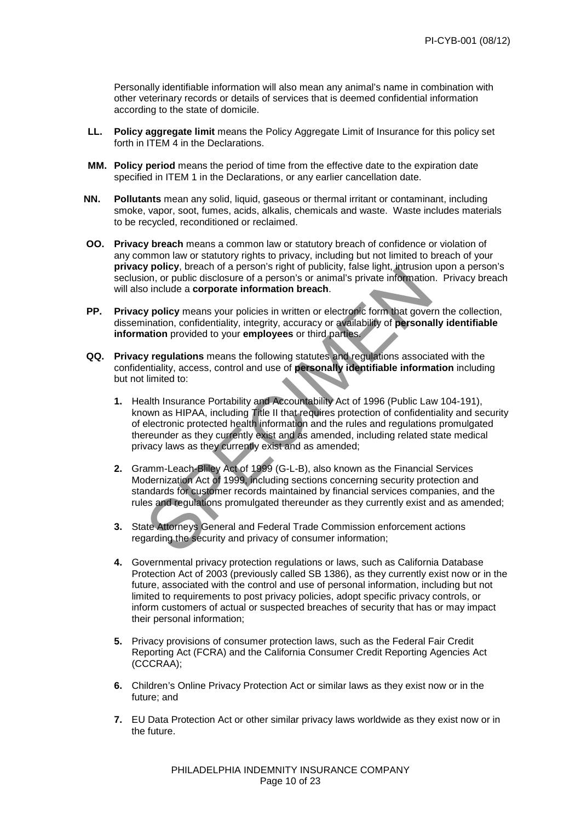Personally identifiable information will also mean any animal's name in combination with other veterinary records or details of services that is deemed confidential information according to the state of domicile.

- **LL. Policy aggregate limit** means the Policy Aggregate Limit of Insurance for this policy set forth in ITEM 4 in the Declarations.
- **MM. Policy period** means the period of time from the effective date to the expiration date specified in ITEM 1 in the Declarations, or any earlier cancellation date.
- **NN. Pollutants** mean any solid, liquid, gaseous or thermal irritant or contaminant, including smoke, vapor, soot, fumes, acids, alkalis, chemicals and waste. Waste includes materials to be recycled, reconditioned or reclaimed.
- **OO. Privacy breach** means a common law or statutory breach of confidence or violation of any common law or statutory rights to privacy, including but not limited to breach of your  **privacy policy**, breach of a person's right of publicity, false light, intrusion upon a person's seclusion, or public disclosure of a person's or animal's private information. Privacy breach will also include a **corporate information breach**.
- **PP.** Privacy policy means your policies in written or electronic form that govern the collection, dissemination, confidentiality, integrity, accuracy or availability of **personally identifiable information** provided to your **employees** or third parties.
- **QQ. Privacy regulations** means the following statutes and regulations associated with the confidentiality, access, control and use of **personally identifiable information** including but not limited to:
- **y policy**, ureactivity appearing the publicity, has light the model on, or public disclosure of a person's or animal's private information. Provide a **corporate information breach**.<br> **y policy** means your policies in writ **1.** Health Insurance Portability and Accountability Act of 1996 (Public Law 104-191), known as HIPAA, including Title II that requires protection of confidentiality and security of electronic protected health information and the rules and regulations promulgated thereunder as they currently exist and as amended, including related state medical privacy laws as they currently exist and as amended;
	- **2.** Gramm-Leach-Bliley Act of 1999 (G-L-B), also known as the Financial Services Modernization Act of 1999, including sections concerning security protection and standards for customer records maintained by financial services companies, and the rules and regulations promulgated thereunder as they currently exist and as amended;
	- **3.** State Attorneys General and Federal Trade Commission enforcement actions regarding the security and privacy of consumer information;
	- **4.** Governmental privacy protection regulations or laws, such as California Database Protection Act of 2003 (previously called SB 1386), as they currently exist now or in the future, associated with the control and use of personal information, including but not limited to requirements to post privacy policies, adopt specific privacy controls, or inform customers of actual or suspected breaches of security that has or may impact their personal information;
	- **5.** Privacy provisions of consumer protection laws, such as the Federal Fair Credit Reporting Act (FCRA) and the California Consumer Credit Reporting Agencies Act (CCCRAA);
	- **6.** Children's Online Privacy Protection Act or similar laws as they exist now or in the future; and
	- **7.** EU Data Protection Act or other similar privacy laws worldwide as they exist now or in the future.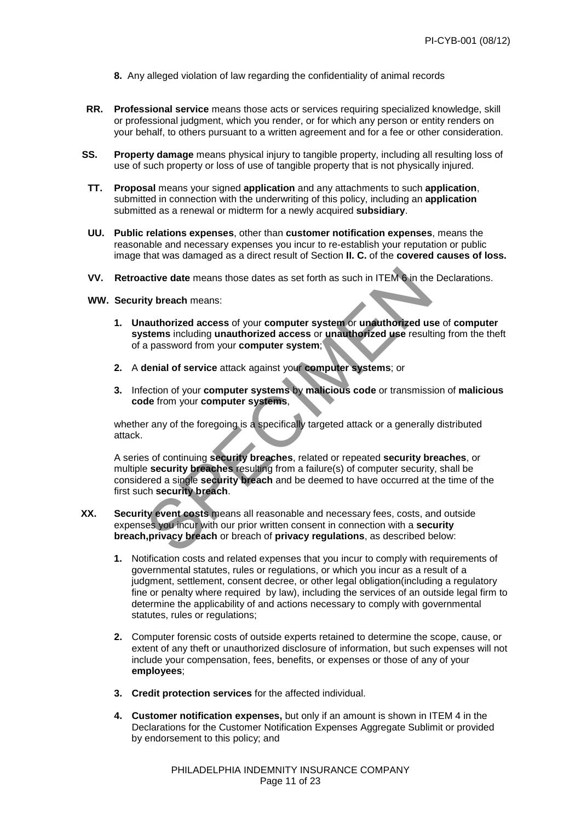- **8.** Any alleged violation of law regarding the confidentiality of animal records
- **RR. Professional service** means those acts or services requiring specialized knowledge, skill or professional judgment, which you render, or for which any person or entity renders on your behalf, to others pursuant to a written agreement and for a fee or other consideration.
- **SS. Property damage** means physical injury to tangible property, including all resulting loss of use of such property or loss of use of tangible property that is not physically injured.
- **TT. Proposal** means your signed **application** and any attachments to such **application**, submitted in connection with the underwriting of this policy, including an **application** submitted as a renewal or midterm for a newly acquired **subsidiary**.
- **UU. Public relations expenses**, other than **customer notification expenses**, means the reasonable and necessary expenses you incur to re-establish your reputation or public image that was damaged as a direct result of Section **II. C.** of the **covered causes of loss.**
- **VV. Retroactive date** means those dates as set forth as such in ITEM 6 in the Declarations.
- **WW. Security breach** means:
	- **1. Unauthorized access** of your **computer system** or **unauthorized use** of **computer systems** including **unauthorized access** or **unauthorized use** resulting from the theft of a password from your **computer system**;
	- **2.** A **denial of service** attack against your **computer systems**; or
	- **3.** Infection of your **computer systems** by **malicious code** or transmission of **malicious code** from your **computer systems**,

whether any of the foregoing is a specifically targeted attack or a generally distributed attack.

notive date means those dates as set forth as such in ITEM on the Decty breach means:<br>
starthorized access of your computer system or unauthorized use of<br>
stems including unauthorized access or unauthorized use resulting f A series of continuing **security breaches**, related or repeated **security breaches**, or multiple **security breaches** resulting from a failure(s) of computer security, shall be considered a single **security breach** and be deemed to have occurred at the time of the first such **security breach**.

- **XX. Security event costs** means all reasonable and necessary fees, costs, and outside expenses you incur with our prior written consent in connection with a **security breach,privacy breach** or breach of **privacy regulations**, as described below:
	- **1.** Notification costs and related expenses that you incur to comply with requirements of governmental statutes, rules or regulations, or which you incur as a result of a judgment, settlement, consent decree, or other legal obligation(including a regulatory fine or penalty where required by law), including the services of an outside legal firm to determine the applicability of and actions necessary to comply with governmental statutes, rules or regulations;
	- **2.** Computer forensic costs of outside experts retained to determine the scope, cause, or extent of any theft or unauthorized disclosure of information, but such expenses will not include your compensation, fees, benefits, or expenses or those of any of your **employees**;
	- **3. Credit protection services** for the affected individual.
	- **4. Customer notification expenses,** but only if an amount is shown in ITEM 4 in the Declarations for the Customer Notification Expenses Aggregate Sublimit or provided by endorsement to this policy; and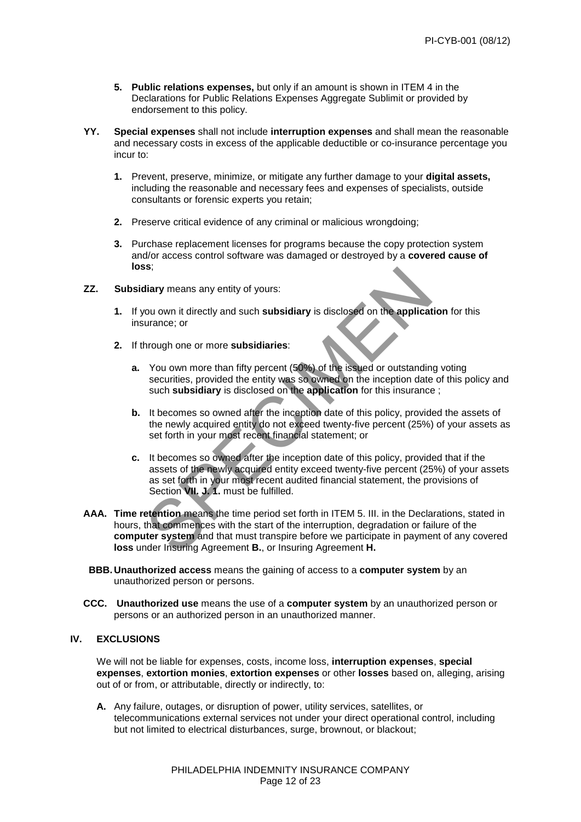- **5. Public relations expenses,** but only if an amount is shown in ITEM 4 in theDeclarations for Public Relations Expenses Aggregate Sublimit or provided by endorsement to this policy.
- **YY. Special expenses** shall not include **interruption expenses** and shall mean the reasonable and necessary costs in excess of the applicable deductible or co-insurance percentage you incur to:
	- **1.** Prevent, preserve, minimize, or mitigate any further damage to your **digital assets,** including the reasonable and necessary fees and expenses of specialists, outside consultants or forensic experts you retain;
	- **2.** Preserve critical evidence of any criminal or malicious wrongdoing;
	- **3.** Purchase replacement licenses for programs because the copy protection system and/or access control software was damaged or destroyed by a **covered cause of loss**;
- **ZZ. Subsidiary** means any entity of yours:
	- **1.** If you own it directly and such **subsidiary** is disclosed on the **application** for this insurance; or
	- **2.** If through one or more **subsidiaries**:
		- **a.** You own more than fifty percent (50%) of the issued or outstanding voting securities, provided the entity was so owned on the inception date of this policy and such **subsidiary** is disclosed on the **application** for this insurance ;
		- **b.** It becomes so owned after the inception date of this policy, provided the assets of the newly acquired entity do not exceed twenty-five percent (25%) of your assets as set forth in your most recent financial statement; or
- Solventy means any entity of yours:<br>
You own it directly and such subsidiary is disclosed on the application<br>
urance; or<br>
hrough one or more subsidiaries:<br>
You own more than fifty percent (50%) of the issued or outstanding **c.** It becomes so owned after the inception date of this policy, provided that if the assets of the newly acquired entity exceed twenty-five percent (25%) of your assets as set forth in your most recent audited financial statement, the provisions of Section **VII. J. 1.** must be fulfilled.
- **AAA. Time retention** means the time period set forth in ITEM 5. III. in the Declarations, stated in hours, that commences with the start of the interruption, degradation or failure of the **computer system** and that must transpire before we participate in payment of any covered **loss** under Insuring Agreement **B.**, or Insuring Agreement **H.**
- **BBB. Unauthorized access** means the gaining of access to a **computer system** by an unauthorized person or persons.
- **CCC. Unauthorized use** means the use of a **computer system** by an unauthorized person or persons or an authorized person in an unauthorized manner.

# **IV. EXCLUSIONS**

We will not be liable for expenses, costs, income loss, **interruption expenses**, **special expenses**, **extortion monies**, **extortion expenses** or other **losses** based on, alleging, arising out of or from, or attributable, directly or indirectly, to:

**A.** Any failure, outages, or disruption of power, utility services, satellites, or telecommunications external services not under your direct operational control, including but not limited to electrical disturbances, surge, brownout, or blackout;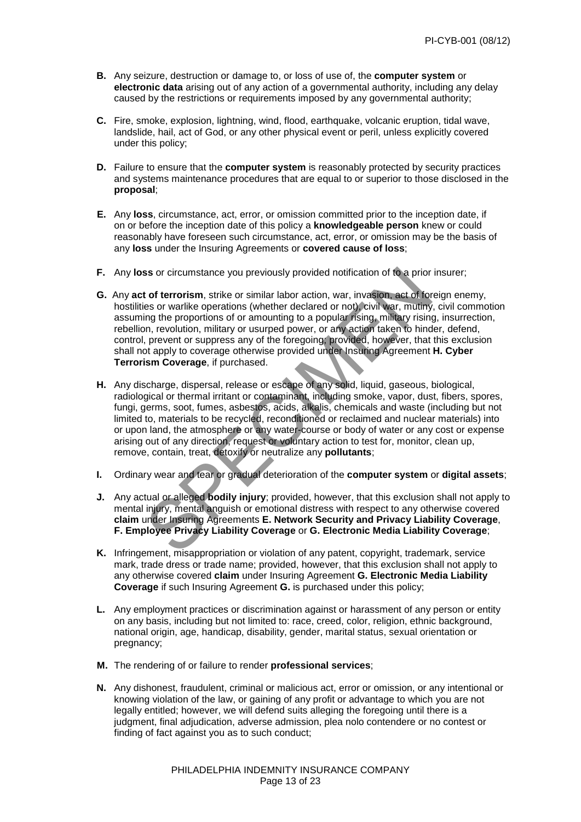- **B.** Any seizure, destruction or damage to, or loss of use of, the **computer system** or **electronic data** arising out of any action of a governmental authority, including any delay caused by the restrictions or requirements imposed by any governmental authority;
- **C.** Fire, smoke, explosion, lightning, wind, flood, earthquake, volcanic eruption, tidal wave, landslide, hail, act of God, or any other physical event or peril, unless explicitly covered under this policy;
- **D.** Failure to ensure that the **computer system** is reasonably protected by security practices and systems maintenance procedures that are equal to or superior to those disclosed in the **proposal**;
- **E.** Any **loss**, circumstance, act, error, or omission committed prior to the inception date, if on or before the inception date of this policy a **knowledgeable person** knew or could reasonably have foreseen such circumstance, act, error, or omission may be the basis of any **loss** under the Insuring Agreements or **covered cause of loss**;
- **F.** Any **loss** or circumstance you previously provided notification of to a prior insurer;
- **G.** Any **act of terrorism**, strike or similar labor action, war, invasion, act of foreign enemy, hostilities or warlike operations (whether declared or not), civil war, mutiny, civil commotion assuming the proportions of or amounting to a popular rising, military rising, insurrection, rebellion, revolution, military or usurped power, or any action taken to hinder, defend, control, prevent or suppress any of the foregoing; provided, however, that this exclusion shall not apply to coverage otherwise provided under Insuring Agreement **H. Cyber Terrorism Coverage**, if purchased.
- so or circumstance you previously provided notification of to a prior insult of terrorism, strike or smillar labor action, war, invasion, act of foreign es or warlike operations (whether declared or not), civil war, muttin **H.** Any discharge, dispersal, release or escape of any solid, liquid, gaseous, biological, radiological or thermal irritant or contaminant, including smoke, vapor, dust, fibers, spores, fungi, germs, soot, fumes, asbestos, acids, alkalis, chemicals and waste (including but not limited to, materials to be recycled, reconditioned or reclaimed and nuclear materials) into or upon land, the atmosphere or any water-course or body of water or any cost or expense arising out of any direction, request or voluntary action to test for, monitor, clean up, remove, contain, treat, detoxify or neutralize any **pollutants**;
- **I.** Ordinary wear and tear or gradual deterioration of the **computer system** or **digital assets**;
- **J.** Any actual or alleged **bodily injury**; provided, however, that this exclusion shall not apply to mental injury, mental anguish or emotional distress with respect to any otherwise covered **claim** under Insuring Agreements **E. Network Security and Privacy Liability Coverage**, **F. Employee Privacy Liability Coverage** or **G. Electronic Media Liability Coverage**;
- **K.** Infringement, misappropriation or violation of any patent, copyright, trademark, service mark, trade dress or trade name; provided, however, that this exclusion shall not apply to any otherwise covered **claim** under Insuring Agreement **G. Electronic Media Liability Coverage** if such Insuring Agreement **G.** is purchased under this policy;
- **L.** Any employment practices or discrimination against or harassment of any person or entity on any basis, including but not limited to: race, creed, color, religion, ethnic background, national origin, age, handicap, disability, gender, marital status, sexual orientation or pregnancy;
- **M.** The rendering of or failure to render **professional services**;
- **N.** Any dishonest, fraudulent, criminal or malicious act, error or omission, or any intentional or knowing violation of the law, or gaining of any profit or advantage to which you are not legally entitled; however, we will defend suits alleging the foregoing until there is a judgment, final adjudication, adverse admission, plea nolo contendere or no contest or finding of fact against you as to such conduct;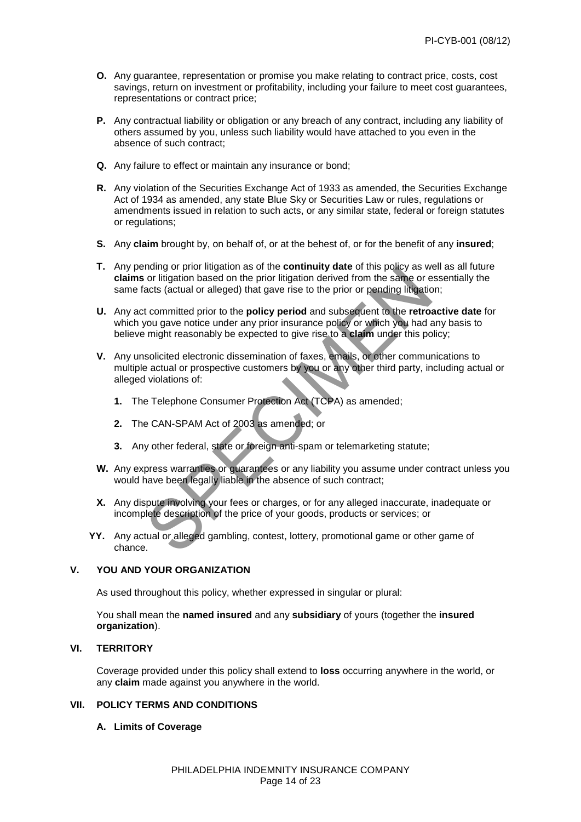- **O.** Any guarantee, representation or promise you make relating to contract price, costs, cost savings, return on investment or profitability, including your failure to meet cost guarantees, representations or contract price;
- **P.** Any contractual liability or obligation or any breach of any contract, including any liability of others assumed by you, unless such liability would have attached to you even in the absence of such contract;
- **Q.** Any failure to effect or maintain any insurance or bond;
- **R.** Any violation of the Securities Exchange Act of 1933 as amended, the Securities Exchange Act of 1934 as amended, any state Blue Sky or Securities Law or rules, regulations or amendments issued in relation to such acts, or any similar state, federal or foreign statutes or regulations;
- **S.** Any **claim** brought by, on behalf of, or at the behest of, or for the benefit of any **insured**;
- **T.** Any pending or prior litigation as of the **continuity date** of this policy as well as all future **claims** or litigation based on the prior litigation derived from the same or essentially the same facts (actual or alleged) that gave rise to the prior or pending litigation;
- manny or pionimigation as of the contrintry date of this policy as well as of thigation based on the prior litigation derived from the same or essentats (actual or alleged) that gave rise to the prior or pending litigation **U.** Any act committed prior to the **policy period** and subsequent to the **retroactive date** for which you gave notice under any prior insurance policy or which you had any basis to believe might reasonably be expected to give rise to a **claim** under this policy;
- **V.** Any unsolicited electronic dissemination of faxes, emails, or other communications to multiple actual or prospective customers by you or any other third party, including actual or alleged violations of:
	- **1.** The Telephone Consumer Protection Act (TCPA) as amended;
	- **2.** The CAN-SPAM Act of 2003 as amended; or
	- **3.** Any other federal, state or foreign anti-spam or telemarketing statute;
- **W.** Any express warranties or guarantees or any liability you assume under contract unless you would have been legally liable in the absence of such contract;
- **X.** Any dispute involving your fees or charges, or for any alleged inaccurate, inadequate or incomplete description of the price of your goods, products or services; or
- **YY.** Any actual or alleged gambling, contest, lottery, promotional game or other game of chance.

### **V. YOU AND YOUR ORGANIZATION**

As used throughout this policy, whether expressed in singular or plural:

You shall mean the **named insured** and any **subsidiary** of yours (together the **insured organization**).

# **VI. TERRITORY**

Coverage provided under this policy shall extend to **loss** occurring anywhere in the world, or any **claim** made against you anywhere in the world.

# **VII. POLICY TERMS AND CONDITIONS**

# **A. Limits of Coverage**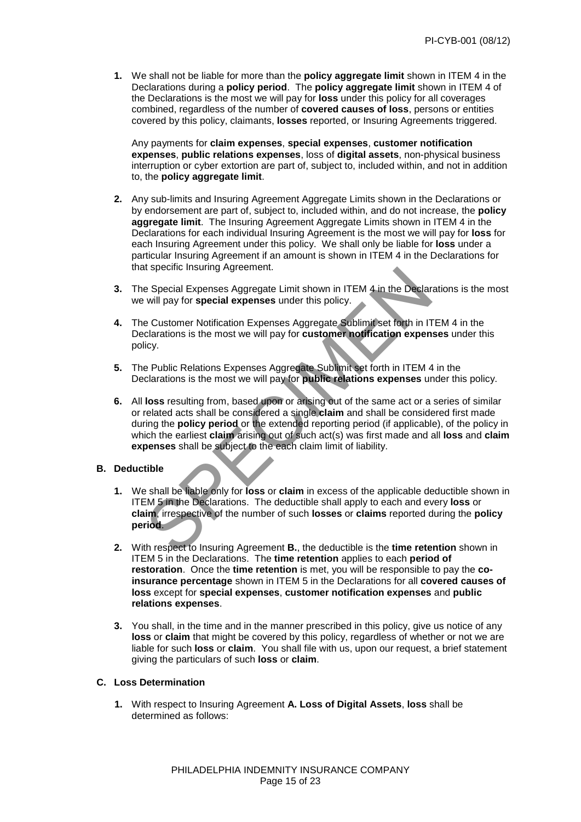**1.** We shall not be liable for more than the **policy aggregate limit** shown in ITEM 4 in the Declarations during a **policy period**. The **policy aggregate limit** shown in ITEM 4 of the Declarations is the most we will pay for **loss** under this policy for all coverages combined, regardless of the number of **covered causes of loss**, persons or entities covered by this policy, claimants, **losses** reported, or Insuring Agreements triggered.

 Any payments for **claim expenses**, **special expenses**, **customer notification expenses**, **public relations expenses**, loss of **digital assets**, non-physical business interruption or cyber extortion are part of, subject to, included within, and not in addition to, the **policy aggregate limit**.

- **2.** Any sub-limits and Insuring Agreement Aggregate Limits shown in the Declarations or by endorsement are part of, subject to, included within, and do not increase, the **policy aggregate limit**. The Insuring Agreement Aggregate Limits shown in ITEM 4 in the Declarations for each individual Insuring Agreement is the most we will pay for **loss** for each Insuring Agreement under this policy. We shall only be liable for **loss** under a particular Insuring Agreement if an amount is shown in ITEM 4 in the Declarations for that specific Insuring Agreement.
- **3.** The Special Expenses Aggregate Limit shown in ITEM 4 in the Declarations is the most we will pay for **special expenses** under this policy.
- **4.** The Customer Notification Expenses Aggregate Sublimit set forth in ITEM 4 in the Declarations is the most we will pay for **customer notification expenses** under this policy.
- **5.** The Public Relations Expenses Aggregate Sublimit set forth in ITEM 4 in the Declarations is the most we will pay for **public relations expenses** under this policy.
- It specific Expenses Aggregate Limit shown in ITEM 4 in the Declaration<br>
will pay for special expenses under this policy.<br>
Customer Notification Expenses Aggregate Sublimit set forth in ITEM<br>
clarations is the most we will  **6.** All **loss** resulting from, based upon or arising out of the same act or a series of similar or related acts shall be considered a single **claim** and shall be considered first made during the **policy period** or the extended reporting period (if applicable), of the policy in which the earliest **claim** arising out of such act(s) was first made and all **loss** and **claim expenses** shall be subject to the each claim limit of liability.

### **B. Deductible**

- **1.** We shall be liable only for **loss** or **claim** in excess of the applicable deductible shown in ITEM 5 in the Declarations. The deductible shall apply to each and every **loss** or **claim**, irrespective of the number of such **losses** or **claims** reported during the **policy period**.
- **2.** With respect to Insuring Agreement **B.**, the deductible is the **time retention** shown in ITEM 5 in the Declarations. The **time retention** applies to each **period of restoration**. Once the **time retention** is met, you will be responsible to pay the **coinsurance percentage** shown in ITEM 5 in the Declarations for all **covered causes of loss** except for **special expenses**, **customer notification expenses** and **public relations expenses**.
- **3.** You shall, in the time and in the manner prescribed in this policy, give us notice of any **loss** or **claim** that might be covered by this policy, regardless of whether or not we are liable for such **loss** or **claim**. You shall file with us, upon our request, a brief statement giving the particulars of such **loss** or **claim**.

### **C. Loss Determination**

**1.** With respect to Insuring Agreement **A. Loss of Digital Assets**, **loss** shall be determined as follows: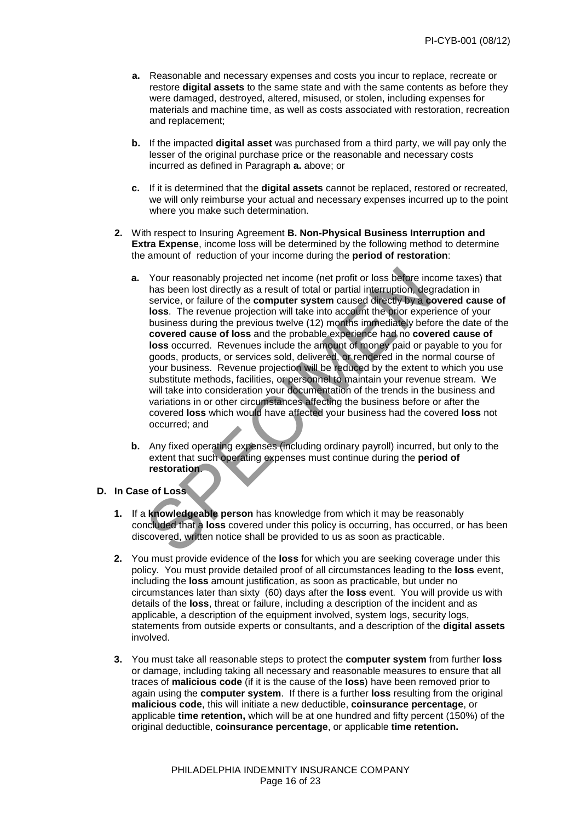- **a.** Reasonable and necessary expenses and costs you incur to replace, recreate or restore **digital assets** to the same state and with the same contents as before they were damaged, destroyed, altered, misused, or stolen, including expenses for materials and machine time, as well as costs associated with restoration, recreation and replacement;
- **b.** If the impacted **digital asset** was purchased from a third party, we will pay only the lesser of the original purchase price or the reasonable and necessary costs incurred as defined in Paragraph **a.** above; or
- **c.** If it is determined that the **digital assets** cannot be replaced, restored or recreated, we will only reimburse your actual and necessary expenses incurred up to the point where you make such determination.
- **2.** With respect to Insuring Agreement **B. Non-Physical Business Interruption and Extra Expense**, income loss will be determined by the following method to determine the amount of reduction of your income during the **period of restoration**:
	- Your reasonably projected net income (net profit or loss before income<br>has been lost directly as a result of total or partial interruption, degrada<br>service, or failure of the **computer system** caused directly by a cover-<br>l **a.** Your reasonably projected net income (net profit or loss before income taxes) that has been lost directly as a result of total or partial interruption, degradation in service, or failure of the **computer system** caused directly by a **covered cause of loss**. The revenue projection will take into account the prior experience of your business during the previous twelve (12) months immediately before the date of the **covered cause of loss** and the probable experience had no **covered cause of loss** occurred. Revenues include the amount of money paid or payable to you for goods, products, or services sold, delivered, or rendered in the normal course of your business. Revenue projection will be reduced by the extent to which you use substitute methods, facilities, or personnel to maintain your revenue stream. We will take into consideration your documentation of the trends in the business and variations in or other circumstances affecting the business before or after the covered **loss** which would have affected your business had the covered **loss** not occurred; and
	- **b.** Any fixed operating expenses (including ordinary payroll) incurred, but only to the extent that such operating expenses must continue during the **period of restoration**.

# **D. In Case of Loss**

- **1.** If a **knowledgeable person** has knowledge from which it may be reasonably concluded that a **loss** covered under this policy is occurring, has occurred, or has been discovered, written notice shall be provided to us as soon as practicable.
- **2.** You must provide evidence of the **loss** for which you are seeking coverage under this policy. You must provide detailed proof of all circumstances leading to the **loss** event, including the **loss** amount justification, as soon as practicable, but under no circumstances later than sixty (60) days after the **loss** event. You will provide us with details of the **loss**, threat or failure, including a description of the incident and as applicable, a description of the equipment involved, system logs, security logs, statements from outside experts or consultants, and a description of the **digital assets** involved.
- **3.** You must take all reasonable steps to protect the **computer system** from further **loss** or damage, including taking all necessary and reasonable measures to ensure that all traces of **malicious code** (if it is the cause of the **loss**) have been removed prior to again using the **computer system**. If there is a further **loss** resulting from the original **malicious code**, this will initiate a new deductible, **coinsurance percentage**, or applicable **time retention,** which will be at one hundred and fifty percent (150%) of the original deductible, **coinsurance percentage**, or applicable **time retention.**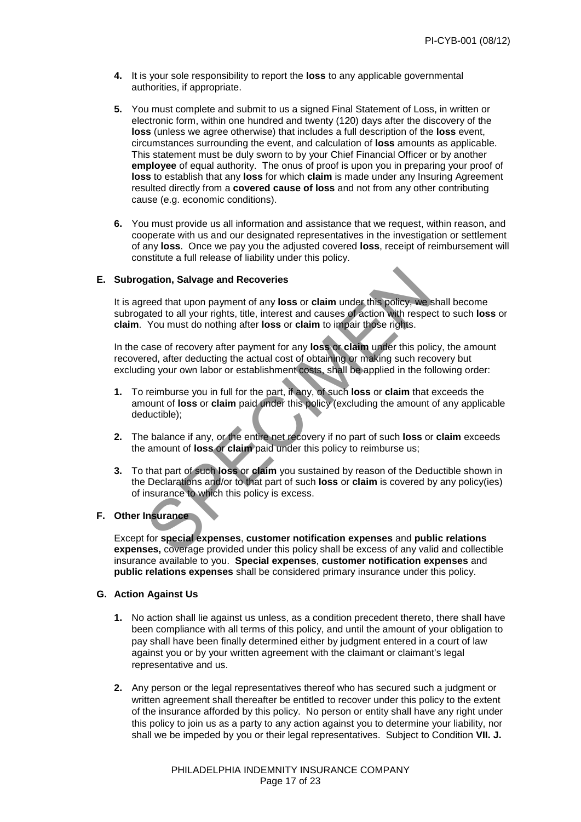- **4.** It is your sole responsibility to report the **loss** to any applicable governmental authorities, if appropriate.
- **5.** You must complete and submit to us a signed Final Statement of Loss, in written or electronic form, within one hundred and twenty (120) days after the discovery of the **loss** (unless we agree otherwise) that includes a full description of the **loss** event, circumstances surrounding the event, and calculation of **loss** amounts as applicable. This statement must be duly sworn to by your Chief Financial Officer or by another **employee** of equal authority. The onus of proof is upon you in preparing your proof of **loss** to establish that any **loss** for which **claim** is made under any Insuring Agreement resulted directly from a **covered cause of loss** and not from any other contributing cause (e.g. economic conditions).
- **6.** You must provide us all information and assistance that we request, within reason, and cooperate with us and our designated representatives in the investigation or settlement of any **loss**. Once we pay you the adjusted covered **loss**, receipt of reimbursement will constitute a full release of liability under this policy.

#### **E. Subrogation, Salvage and Recoveries**

It is agreed that upon payment of any **loss** or **claim** under this policy, we shall become subrogated to all your rights, title, interest and causes of action with respect to such **loss** or **claim**. You must do nothing after **loss** or **claim** to impair those rights.

 In the case of recovery after payment for any **loss** or **claim** under this policy, the amount recovered, after deducting the actual cost of obtaining or making such recovery but excluding your own labor or establishment costs, shall be applied in the following order:

- **1.** To reimburse you in full for the part, if any, of such **loss** or **claim** that exceeds the amount of **loss** or **claim** paid under this policy (excluding the amount of any applicable deductible);
- **2.** The balance if any, or the entire net recovery if no part of such **loss** or **claim** exceeds the amount of **loss** or **claim** paid under this policy to reimburse us;
- gation, Salvage and Recoveries<br>reed that upon payment of any loss or claim under this policy, we shall<br>ated to all your rights, title, interest and causes of action with respect to<br>You must do nothing after loss or claim t **3.** To that part of such **loss** or **claim** you sustained by reason of the Deductible shown in the Declarations and/or to that part of such **loss** or **claim** is covered by any policy(ies) of insurance to which this policy is excess.

# **F. Other Insurance**

 Except for **special expenses**, **customer notification expenses** and **public relations expenses,** coverage provided under this policy shall be excess of any valid and collectible insurance available to you. **Special expenses**, **customer notification expenses** and **public relations expenses** shall be considered primary insurance under this policy.

# **G. Action Against Us**

- **1.** No action shall lie against us unless, as a condition precedent thereto, there shall have been compliance with all terms of this policy, and until the amount of your obligation to pay shall have been finally determined either by judgment entered in a court of law against you or by your written agreement with the claimant or claimant's legal representative and us.
- **2.** Any person or the legal representatives thereof who has secured such a judgment or written agreement shall thereafter be entitled to recover under this policy to the extent of the insurance afforded by this policy. No person or entity shall have any right under this policy to join us as a party to any action against you to determine your liability, nor shall we be impeded by you or their legal representatives. Subject to Condition **VII. J.**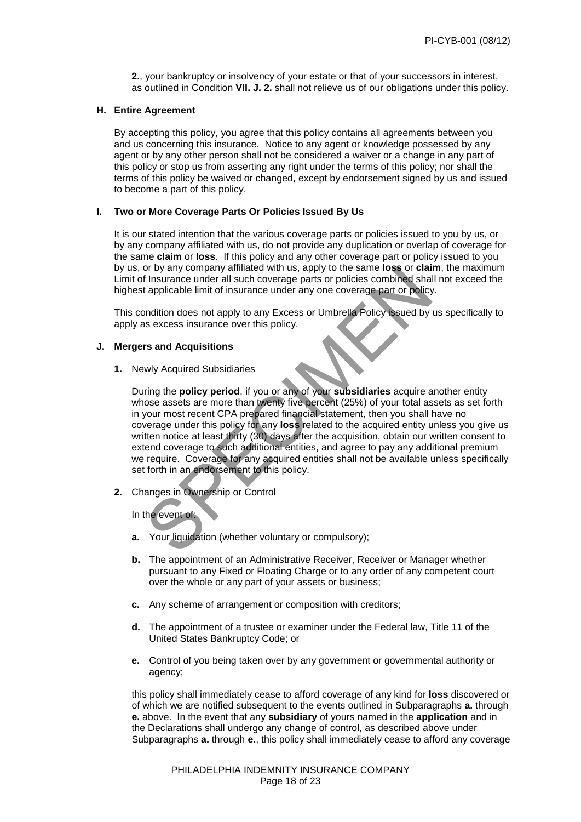**2.**, your bankruptcy or insolvency of your estate or that of your successors in interest, as outlined in Condition **VII. J. 2.** shall not relieve us of our obligations under this policy.

#### **H. Entire Agreement**

By accepting this policy, you agree that this policy contains all agreements between you and us concerning this insurance. Notice to any agent or knowledge possessed by any agent or by any other person shall not be considered a waiver or a change in any part of this policy or stop us from asserting any right under the terms of this policy; nor shall the terms of this policy be waived or changed, except by endorsement signed by us and issued to become a part of this policy.

# **I. Two or More Coverage Parts Or Policies Issued By Us**

It is our stated intention that the various coverage parts or policies issued to you by us, or by any company affiliated with us, do not provide any duplication or overlap of coverage for the same **claim** or **loss**. If this policy and any other coverage part or policy issued to you by us, or by any company affiliated with us, apply to the same **loss** or **claim**, the maximum Limit of Insurance under all such coverage parts or policies combined shall not exceed the highest applicable limit of insurance under any one coverage part or policy.

This condition does not apply to any Excess or Umbrella Policy issued by us specifically to apply as excess insurance over this policy.

# **J. Mergers and Acquisitions**

 **1.** Newly Acquired Subsidiaries

The same to see the same to see the same to the same to the same to the moment of any company annuated with a supplicable limit of insurance under any one coverage parts or policies combined shall not applicable limit of i During the **policy period**, if you or any of your **subsidiaries** acquire another entity whose assets are more than twenty five percent (25%) of your total assets as set forth in your most recent CPA prepared financial statement, then you shall have no coverage under this policy for any **loss** related to the acquired entity unless you give us written notice at least thirty (30) days after the acquisition, obtain our written consent to extend coverage to such additional entities, and agree to pay any additional premium we require.Coverage for any acquired entities shall not be available unless specifically set forth in an endorsement to this policy.

**2.** Changes in Ownership or Control

In the event of:

- **a.** Your liquidation (whether voluntary or compulsory);
- **b.** The appointment of an Administrative Receiver, Receiver or Manager whether pursuant to any Fixed or Floating Charge or to any order of any competent court over the whole or any part of your assets or business;
- **c.** Any scheme of arrangement or composition with creditors;
- **d.** The appointment of a trustee or examiner under the Federal law, Title 11 of the United States Bankruptcy Code; or
- **e.** Control of you being taken over by any government or governmental authority or agency;

this policy shall immediately cease to afford coverage of any kind for **loss** discovered or of which we are notified subsequent to the events outlined in Subparagraphs **a.** through **e.** above. In the event that any **subsidiary** of yours named in the **application** and in the Declarations shall undergo any change of control, as described above under Subparagraphs **a.** through **e.**, this policy shall immediately cease to afford any coverage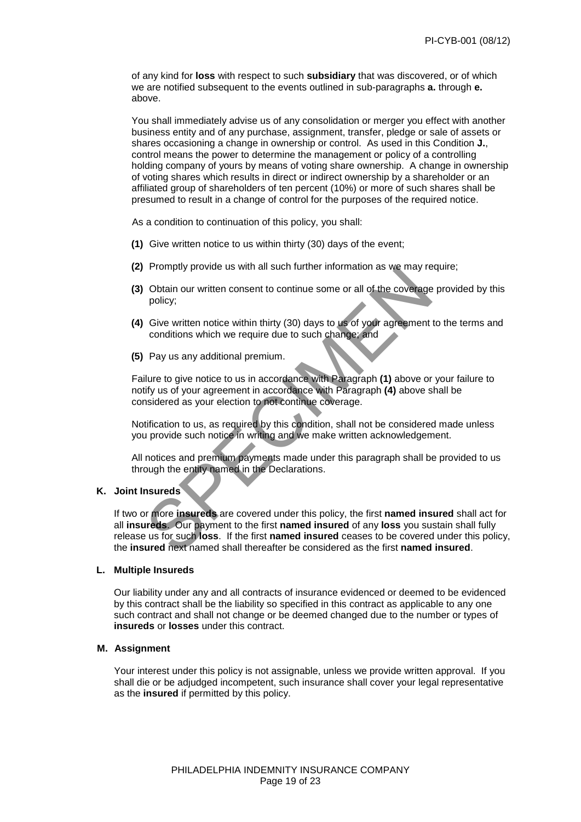of any kind for **loss** with respect to such **subsidiary** that was discovered, or of which we are notified subsequent to the events outlined in sub-paragraphs **a.** through **e.** above.

You shall immediately advise us of any consolidation or merger you effect with another business entity and of any purchase, assignment, transfer, pledge or sale of assets or shares occasioning a change in ownership or control. As used in this Condition **J.**, control means the power to determine the management or policy of a controlling holding company of yours by means of voting share ownership. A change in ownership of voting shares which results in direct or indirect ownership by a shareholder or an affiliated group of shareholders of ten percent (10%) or more of such shares shall be presumed to result in a change of control for the purposes of the required notice.

As a condition to continuation of this policy, you shall:

- **(1)** Give written notice to us within thirty (30) days of the event;
- **(2)** Promptly provide us with all such further information as we may require;
- **(3)** Obtain our written consent to continue some or all of the coverage provided by this policy;
- **(4)** Give written notice within thirty (30) days to us of your agreement to the terms and conditions which we require due to such change; and
- **(5)** Pay us any additional premium.

 Failure to give notice to us in accordance with Paragraph **(1)** above or your failure to notify us of your agreement in accordance with Paragraph **(4)** above shall be considered as your election to not continue coverage.

 Notification to us, as required by this condition, shall not be considered made unless you provide such notice in writing and we make written acknowledgement.

 All notices and premium payments made under this paragraph shall be provided to us through the entity named in the Declarations.

### **K. Joint Insureds**

Prompty provide us with an such further information as we may require<br>Obtain our written consent to continue some or all of the coverage pro<br>policy;<br>Give written notice within thirty (30) days to us of your agreement to th If two or more **insureds** are covered under this policy, the first **named insured** shall act for all **insureds**. Our payment to the first **named insured** of any **loss** you sustain shall fully release us for such **loss**. If the first **named insured** ceases to be covered under this policy, the **insured** next named shall thereafter be considered as the first **named insured**.

### **L. Multiple Insureds**

 Our liability under any and all contracts of insurance evidenced or deemed to be evidenced by this contract shall be the liability so specified in this contract as applicable to any one such contract and shall not change or be deemed changed due to the number or types of **insureds** or **losses** under this contract.

# **M. Assignment**

Your interest under this policy is not assignable, unless we provide written approval. If you shall die or be adjudged incompetent, such insurance shall cover your legal representative as the **insured** if permitted by this policy.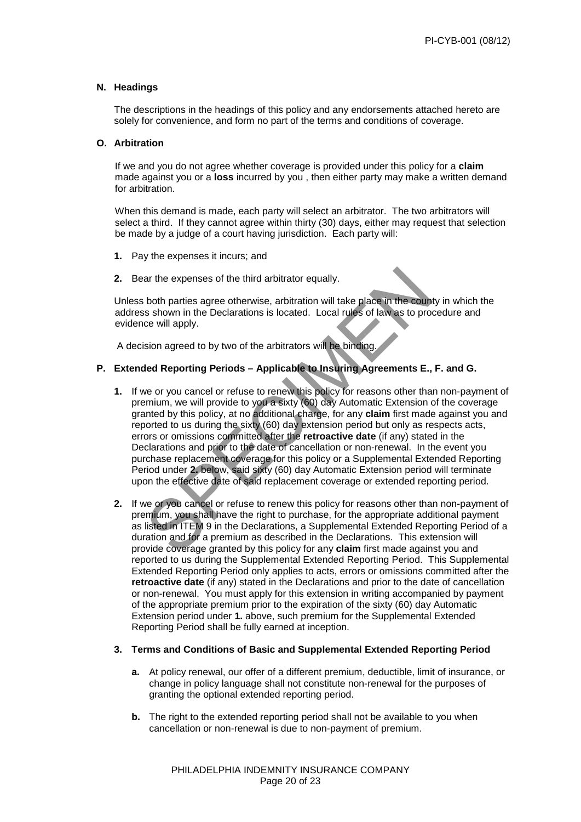#### **N. Headings**

The descriptions in the headings of this policy and any endorsements attached hereto are solely for convenience, and form no part of the terms and conditions of coverage.

#### **O. Arbitration**

If we and you do not agree whether coverage is provided under this policy for a **claim** made against you or a **loss** incurred by you , then either party may make a written demand for arbitration.

When this demand is made, each party will select an arbitrator. The two arbitrators will select a third. If they cannot agree within thirty (30) days, either may request that selection be made by a judge of a court having jurisdiction. Each party will:

- **1.** Pay the expenses it incurs; and
- **2.** Bear the expenses of the third arbitrator equally.

Unless both parties agree otherwise, arbitration will take place in the county in which the address shown in the Declarations is located. Local rules of law as to procedure and evidence will apply.

A decision agreed to by two of the arbitrators will be binding.

# **P. Extended Reporting Periods – Applicable to Insuring Agreements E., F. and G.**

- ar the expenses of the third arbitrator equally.<br>
both parties agree otherwise, arbitration will take place in the county in<br>
is shown in the Declarations is located. Local rules of law as to procedu<br>
ce will apply.<br>
sion **1.** If we or you cancel or refuse to renew this policy for reasons other than non-payment of premium, we will provide to you a sixty (60) day Automatic Extension of the coverage granted by this policy, at no additional charge, for any **claim** first made against you and reported to us during the sixty (60) day extension period but only as respects acts, errors or omissions committed after the **retroactive date** (if any) stated in the Declarations and prior to the date of cancellation or non-renewal. In the event you purchase replacement coverage for this policy or a Supplemental Extended Reporting Period under **2.** below, said sixty (60) day Automatic Extension period will terminate upon the effective date of said replacement coverage or extended reporting period.
- **2.** If we or you cancel or refuse to renew this policy for reasons other than non-payment of premium, you shall have the right to purchase, for the appropriate additional payment as listed in ITEM 9 in the Declarations, a Supplemental Extended Reporting Period of a duration and for a premium as described in the Declarations. This extension will provide coverage granted by this policy for any **claim** first made against you and reported to us during the Supplemental Extended Reporting Period. This Supplemental Extended Reporting Period only applies to acts, errors or omissions committed after the **retroactive date** (if any) stated in the Declarations and prior to the date of cancellation or non-renewal. You must apply for this extension in writing accompanied by payment of the appropriate premium prior to the expiration of the sixty (60) day Automatic Extension period under **1.** above, such premium for the Supplemental Extended Reporting Period shall be fully earned at inception.

#### **3. Terms and Conditions of Basic and Supplemental Extended Reporting Period**

- **a.** At policy renewal, our offer of a different premium, deductible, limit of insurance, or change in policy language shall not constitute non-renewal for the purposes of granting the optional extended reporting period.
- **b.** The right to the extended reporting period shall not be available to you when cancellation or non-renewal is due to non-payment of premium.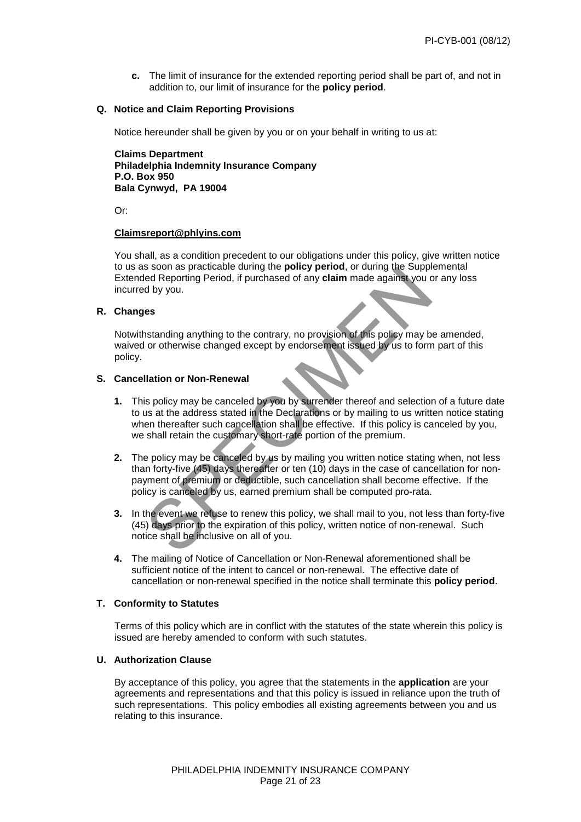**c.** The limit of insurance for the extended reporting period shall be part of, and not in addition to, our limit of insurance for the **policy period**.

#### **Q. Notice and Claim Reporting Provisions**

Notice hereunder shall be given by you or on your behalf in writing to us at:

 **Claims Department Philadelphia Indemnity Insurance Company P.O. Box 950 Bala Cynwyd, PA 19004**

Or:

#### **[Claimsreport@phlyins.com](mailto:Claimsreport@phlyins.com)**

 You shall, as a condition precedent to our obligations under this policy, give written notice to us as soon as practicable during the **policy period**, or during the Supplemental Extended Reporting Period, if purchased of any **claim** made against you or any loss incurred by you.

# **R. Changes**

 Notwithstanding anything to the contrary, no provision of this policy may be amended, waived or otherwise changed except by endorsement issued by us to form part of this policy.

# **S. Cancellation or Non-Renewal**

- Solving Period, if purchased of any claim ande against you or an solven bed Reporting Period, if purchased of any claim made against you or an divided by you.<br>
Ses instanding anything to the contrary, no provision of this  **1.** This policy may be canceled by you by surrender thereof and selection of a future date to us at the address stated in the Declarations or by mailing to us written notice stating when thereafter such cancellation shall be effective. If this policy is canceled by you, we shall retain the customary short-rate portion of the premium.
- **2.** The policy may be canceled by us by mailing you written notice stating when, not less than forty-five (45) days thereafter or ten (10) days in the case of cancellation for nonpayment of premium or deductible, such cancellation shall become effective. If the policy is canceled by us, earned premium shall be computed pro-rata.
- **3.** In the event we refuse to renew this policy, we shall mail to you, not less than forty-five (45) days prior to the expiration of this policy, written notice of non-renewal. Such notice shall be inclusive on all of you.
- **4.** The mailing of Notice of Cancellation or Non-Renewal aforementioned shall be sufficient notice of the intent to cancel or non-renewal. The effective date of cancellation or non-renewal specified in the notice shall terminate this **policy period**.

### **T. Conformity to Statutes**

 Terms of this policy which are in conflict with the statutes of the state wherein this policy is issued are hereby amended to conform with such statutes.

#### **U. Authorization Clause**

 By acceptance of this policy, you agree that the statements in the **application** are your agreements and representations and that this policy is issued in reliance upon the truth of such representations. This policy embodies all existing agreements between you and us relating to this insurance.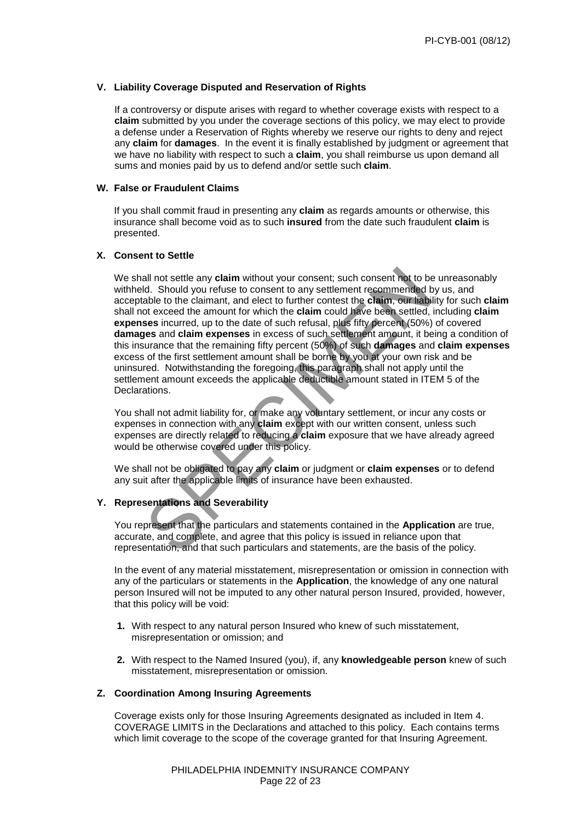### **V. Liability Coverage Disputed and Reservation of Rights**

 If a controversy or dispute arises with regard to whether coverage exists with respect to a **claim** submitted by you under the coverage sections of this policy, we may elect to provide a defense under a Reservation of Rights whereby we reserve our rights to deny and reject any **claim** for **damages**. In the event it is finally established by judgment or agreement that we have no liability with respect to such a **claim**, you shall reimburse us upon demand all sums and monies paid by us to defend and/or settle such **claim**.

#### **W. False or Fraudulent Claims**

 If you shall commit fraud in presenting any **claim** as regards amounts or otherwise, this insurance shall become void as to such **insured** from the date such fraudulent **claim** is presented.

### **X. Consent to Settle**

all not settle any **claim** without your consent; such consent not to be unided your refuse to consent to any settlement recommended by usable to the claimat, and elect to further contest the **claim**, our trability to the c We shall not settle any **claim** without your consent; such consent not to be unreasonably withheld. Should you refuse to consent to any settlement recommended by us, and acceptable to the claimant, and elect to further contest the **claim**, our liability for such **claim** shall not exceed the amount for which the **claim** could have been settled, including **claim expenses** incurred, up to the date of such refusal, plus fifty percent (50%) of covered **damages** and **claim expenses** in excess of such settlement amount, it being a condition of this insurance that the remaining fifty percent (50%) of such **damages** and **claim expenses** excess of the first settlement amount shall be borne by you at your own risk and be uninsured. Notwithstanding the foregoing, this paragraph shall not apply until the settlement amount exceeds the applicable deductible amount stated in ITEM 5 of the Declarations.

 You shall not admit liability for, or make any voluntary settlement, or incur any costs or expenses in connection with any **claim** except with our written consent, unless such expenses are directly related to reducing a **claim** exposure that we have already agreed would be otherwise covered under this policy.

We shall not be obligated to pay any **claim** or judgment or **claim expenses** or to defend any suit after the applicable limits of insurance have been exhausted.

# **Y. Representations and Severability**

 You represent that the particulars and statements contained in the **Application** are true, accurate, and complete, and agree that this policy is issued in reliance upon that representation, and that such particulars and statements, are the basis of the policy.

 In the event of any material misstatement, misrepresentation or omission in connection with any of the particulars or statements in the **Application**, the knowledge of any one natural person Insured will not be imputed to any other natural person Insured, provided, however, that this policy will be void:

- **1.** With respect to any natural person Insured who knew of such misstatement, misrepresentation or omission; and
- **2.** With respect to the Named Insured (you), if, any **knowledgeable person** knew of such misstatement, misrepresentation or omission.

#### **Z. Coordination Among Insuring Agreements**

 Coverage exists only for those Insuring Agreements designated as included in Item 4. COVERAGE LIMITS in the Declarations and attached to this policy. Each contains terms which limit coverage to the scope of the coverage granted for that Insuring Agreement.